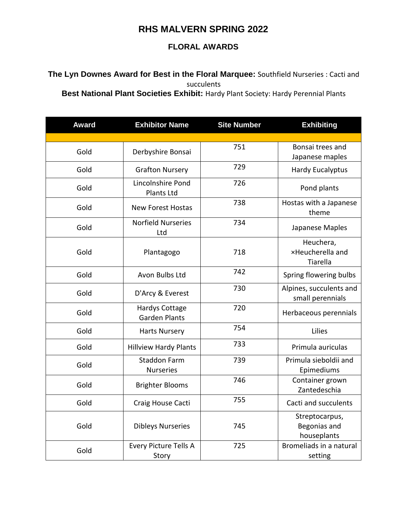## **RHS MALVERN SPRING 2022**

## **FLORAL AWARDS**

## **The Lyn Downes Award for Best in the Floral Marquee:** Southfield Nurseries : Cacti and succulents

**Best National Plant Societies Exhibit:** Hardy Plant Society: Hardy Perennial Plants

| <b>Award</b> | <b>Exhibitor Name</b>                   | <b>Site Number</b> | <b>Exhibiting</b>                             |
|--------------|-----------------------------------------|--------------------|-----------------------------------------------|
|              |                                         |                    |                                               |
| Gold         | Derbyshire Bonsai                       | 751                | Bonsai trees and<br>Japanese maples           |
| Gold         | <b>Grafton Nursery</b>                  | 729                | <b>Hardy Eucalyptus</b>                       |
| Gold         | Lincolnshire Pond<br><b>Plants Ltd</b>  | 726                | Pond plants                                   |
| Gold         | <b>New Forest Hostas</b>                | 738                | Hostas with a Japanese<br>theme               |
| Gold         | <b>Norfield Nurseries</b><br>Ltd        | 734                | Japanese Maples                               |
| Gold         | Plantagogo                              | 718                | Heuchera,<br>xHeucherella and<br>Tiarella     |
| Gold         | Avon Bulbs Ltd                          | 742                | Spring flowering bulbs                        |
| Gold         | D'Arcy & Everest                        | 730                | Alpines, succulents and<br>small perennials   |
| Gold         | Hardys Cottage<br><b>Garden Plants</b>  | 720                | Herbaceous perennials                         |
| Gold         | <b>Harts Nursery</b>                    | 754                | Lilies                                        |
| Gold         | <b>Hillview Hardy Plants</b>            | 733                | Primula auriculas                             |
| Gold         | <b>Staddon Farm</b><br><b>Nurseries</b> | 739                | Primula sieboldii and<br>Epimediums           |
| Gold         | <b>Brighter Blooms</b>                  | 746                | Container grown<br>Zantedeschia               |
| Gold         | Craig House Cacti                       | 755                | Cacti and succulents                          |
| Gold         | <b>Dibleys Nurseries</b>                | 745                | Streptocarpus,<br>Begonias and<br>houseplants |
| Gold         | Every Picture Tells A<br>Story          | 725                | Bromeliads in a natural<br>setting            |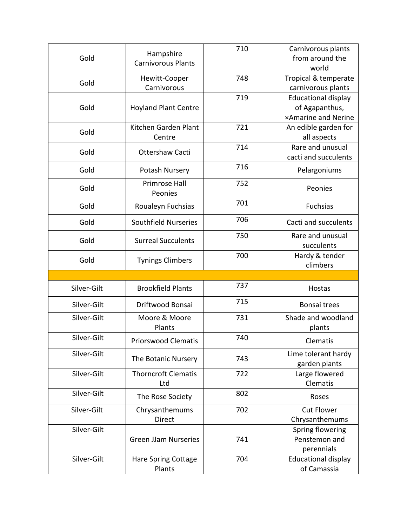| Gold        | Hampshire<br><b>Carnivorous Plants</b> | 710 | Carnivorous plants<br>from around the<br>world                             |
|-------------|----------------------------------------|-----|----------------------------------------------------------------------------|
| Gold        | Hewitt-Cooper<br>Carnivorous           | 748 | Tropical & temperate<br>carnivorous plants                                 |
| Gold        | <b>Hoyland Plant Centre</b>            | 719 | <b>Educational display</b><br>of Agapanthus,<br><b>×Amarine and Nerine</b> |
| Gold        | Kitchen Garden Plant<br>Centre         | 721 | An edible garden for<br>all aspects                                        |
| Gold        | Ottershaw Cacti                        | 714 | Rare and unusual<br>cacti and succulents                                   |
| Gold        | Potash Nursery                         | 716 | Pelargoniums                                                               |
| Gold        | <b>Primrose Hall</b><br>Peonies        | 752 | Peonies                                                                    |
| Gold        | Roualeyn Fuchsias                      | 701 | <b>Fuchsias</b>                                                            |
| Gold        | Southfield Nurseries                   | 706 | Cacti and succulents                                                       |
| Gold        | <b>Surreal Succulents</b>              | 750 | Rare and unusual<br>succulents                                             |
| Gold        | <b>Tynings Climbers</b>                | 700 | Hardy & tender<br>climbers                                                 |
|             |                                        |     |                                                                            |
| Silver-Gilt | <b>Brookfield Plants</b>               | 737 | Hostas                                                                     |
| Silver-Gilt | Driftwood Bonsai                       | 715 | Bonsai trees                                                               |
| Silver-Gilt | Moore & Moore<br>Plants                | 731 | Shade and woodland<br>plants                                               |
| Silver-Gilt | <b>Priorswood Clematis</b>             | 740 | Clematis                                                                   |
| Silver-Gilt | The Botanic Nursery                    | 743 | Lime tolerant hardy<br>garden plants                                       |
| Silver-Gilt | <b>Thorncroft Clematis</b>             | 722 | Large flowered                                                             |
| Silver-Gilt | Ltd                                    |     | Clematis                                                                   |
|             | The Rose Society                       | 802 | Roses                                                                      |
| Silver-Gilt | Chrysanthemums<br><b>Direct</b>        | 702 | <b>Cut Flower</b>                                                          |
| Silver-Gilt | <b>Green JJam Nurseries</b>            | 741 | Chrysanthemums<br>Spring flowering<br>Penstemon and<br>perennials          |